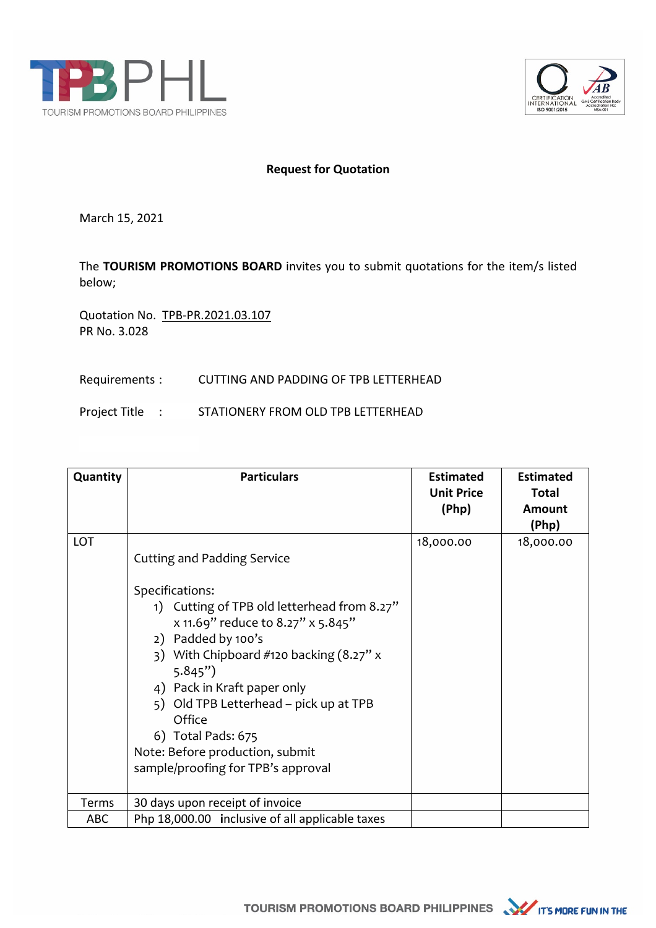



## **Request for Quotation**

March 15, 2021

The **TOURISM PROMOTIONS BOARD** invites you to submit quotations for the item/s listed below;

Quotation No. TPB-PR.2021.03.107 PR No. 3.028

## Requirements : CUTTING AND PADDING OF TPB LETTERHEAD

Project Title : STATIONERY FROM OLD TPB LETTERHEAD

| Quantity   | <b>Particulars</b>                                                                                                                                                                                                                                                                                                                                                                                       | <b>Estimated</b><br><b>Unit Price</b><br>(Php) | <b>Estimated</b><br><b>Total</b><br><b>Amount</b><br>(Php) |
|------------|----------------------------------------------------------------------------------------------------------------------------------------------------------------------------------------------------------------------------------------------------------------------------------------------------------------------------------------------------------------------------------------------------------|------------------------------------------------|------------------------------------------------------------|
| <b>LOT</b> | <b>Cutting and Padding Service</b><br>Specifications:<br>1) Cutting of TPB old letterhead from 8.27"<br>x 11.69" reduce to 8.27" x 5.845"<br>2) Padded by 100's<br>3) With Chipboard #120 backing $(8.27" x$<br>5.845"<br>4) Pack in Kraft paper only<br>5) Old TPB Letterhead – pick up at TPB<br>Office<br>6) Total Pads: 675<br>Note: Before production, submit<br>sample/proofing for TPB's approval | 18,000.00                                      | 18,000.00                                                  |
| Terms      | 30 days upon receipt of invoice                                                                                                                                                                                                                                                                                                                                                                          |                                                |                                                            |
| <b>ABC</b> | Php 18,000.00 inclusive of all applicable taxes                                                                                                                                                                                                                                                                                                                                                          |                                                |                                                            |